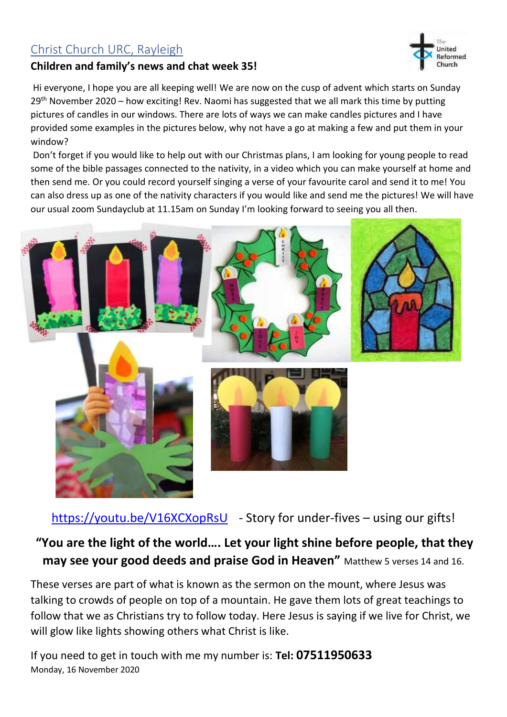## Christ Church URC, Rayleigh

## **Children and family's news and chat week 35!**

Hi everyone, I hope you are all keeping well! We are now on the cusp of advent which starts on Sunday 29<sup>th</sup> November 2020 – how exciting! Rev. Naomi has suggested that we all mark this time by putting pictures of candles in our windows. There are lots of ways we can make candles pictures and I have provided some examples in the pictures below, why not have a go at making a few and put them in your window?

Don't forget if you would like to help out with our Christmas plans, I am looking for young people to read some of the bible passages connected to the nativity, in a video which you can make yourself at home and then send me. Or you could record yourself singing a verse of your favourite carol and send it to me! You can also dress up as one of the nativity characters if you would like and send me the pictures! We will have our usual zoom Sundayclub at 11.15am on Sunday I'm looking forward to seeing you all then.



<https://youtu.be/V16XCXopRsU> - Story for under-fives – using our gifts!

**"You are the light of the world…. Let your light shine before people, that they may see your good deeds and praise God in Heaven"** Matthew 5 verses 14 and 16.

These verses are part of what is known as the sermon on the mount, where Jesus was talking to crowds of people on top of a mountain. He gave them lots of great teachings to follow that we as Christians try to follow today. Here Jesus is saying if we live for Christ, we will glow like lights showing others what Christ is like.

Monday, 16 November 2020 If you need to get in touch with me my number is: **Tel: 07511950633**

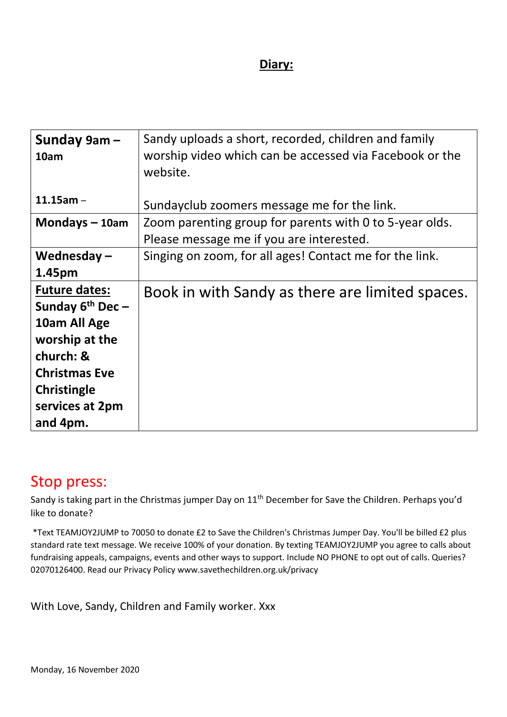## **Diary:**

| Sunday 9am-<br>10am                                  | Sandy uploads a short, recorded, children and family<br>worship video which can be accessed via Facebook or the<br>website. |
|------------------------------------------------------|-----------------------------------------------------------------------------------------------------------------------------|
| $11.15$ am -                                         | Sundayclub zoomers message me for the link.                                                                                 |
| Mondays $-10$ am                                     | Zoom parenting group for parents with 0 to 5-year olds.                                                                     |
|                                                      | Please message me if you are interested.                                                                                    |
| Wednesday $-$                                        | Singing on zoom, for all ages! Contact me for the link.                                                                     |
| 1.45pm                                               |                                                                                                                             |
| <b>Future dates:</b><br>Sunday 6 <sup>th</sup> Dec - | Book in with Sandy as there are limited spaces.                                                                             |
| 10am All Age                                         |                                                                                                                             |
| worship at the                                       |                                                                                                                             |
| church: &                                            |                                                                                                                             |
| <b>Christmas Eve</b>                                 |                                                                                                                             |
| <b>Christingle</b>                                   |                                                                                                                             |
| services at 2pm                                      |                                                                                                                             |
| and 4pm.                                             |                                                                                                                             |

## Stop press:

Sandy is taking part in the Christmas jumper Day on 11<sup>th</sup> December for Save the Children. Perhaps you'd like to donate?

\*Text TEAMJOY2JUMP to 70050 to donate £2 to Save the Children's Christmas Jumper Day. You'll be billed £2 plus standard rate text message. We receive 100% of your donation. By texting TEAMJOY2JUMP you agree to calls about fundraising appeals, campaigns, events and other ways to support. Include NO PHONE to opt out of calls. Queries? 02070126400. Read our Privacy Policy www.savethechildren.org.uk/privacy

With Love, Sandy, Children and Family worker. Xxx